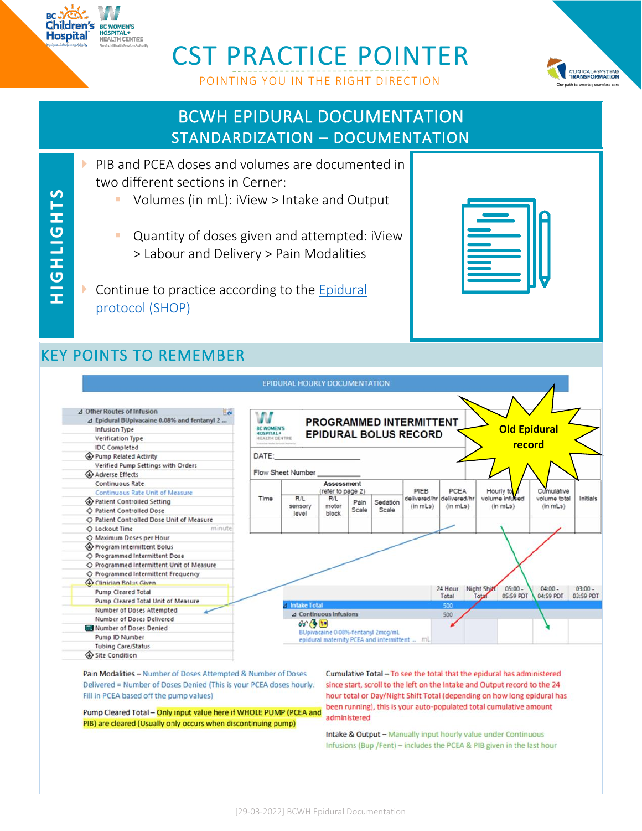

**H IG H LIGH TS**

**HIGHLIGHTS** 

## CST PRACTICE POINTER





#### BCWH EPIDURAL DOCUMENTATION STANDARDIZATION – DOCUMENTATION

- **PIB and PCEA doses and volumes are documented in** two different sections in Cerner:
	- Volumes (in mL): iView > Intake and Output
	- **Quantity of doses given and attempted: iView** > Labour and Delivery > Pain Modalities
- ▶ Continue to practice according to the Epidural [protocol \(SHOP\)](http://shop.healthcarebc.ca/phsa/BCWH_2/BC%20Women)

#### KEY POINTS TO REMEMBER



Pain Modalities - Number of Doses Attempted & Number of Doses Delivered = Number of Doses Denied (This is your PCEA doses hourly. Fill in PCEA based off the pump values)

Pump Cleared Total - Only input value here if WHOLE PUMP (PCEA and PIB) are cleared (Usually only occurs when discontinuing pump)

Cumulative Total - To see the total that the epidural has administered since start, scroll to the left on the Intake and Output record to the 24 hour total or Day/Night Shift Total (depending on how long epidural has been running), this is your auto-populated total cumulative amount administered

Intake & Output - Manually input hourly value under Continuous Infusions (Bup /Fent) - includes the PCEA & PIB given in the last hour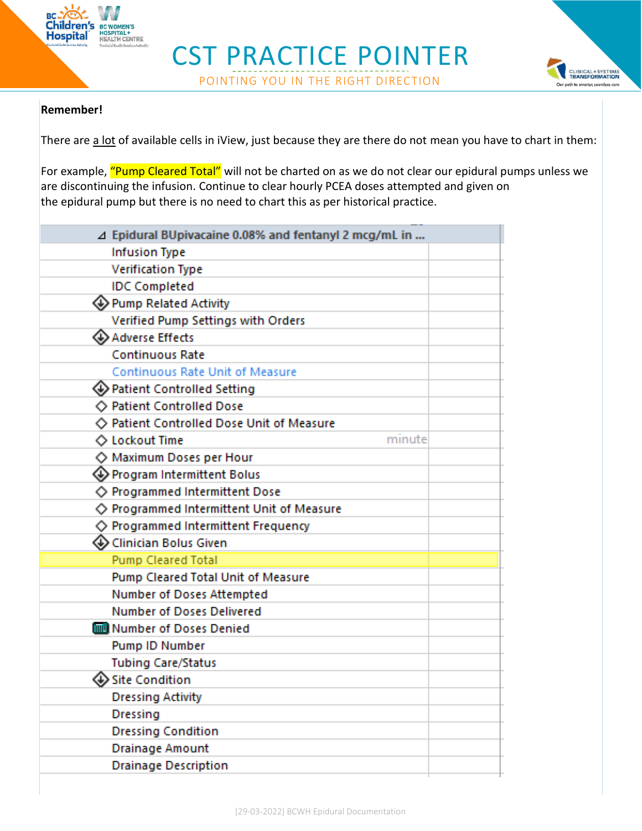

### CST PRACTICE POINTER POINTING YOU IN THE RIGHT DIRECTION



#### **Remember!**

There are a lot of available cells in iView, just because they are there do not mean you have to chart in them:

For example, "Pump Cleared Total" will not be charted on as we do not clear our epidural pumps unless we are discontinuing the infusion. Continue to clear hourly PCEA doses attempted and given on the epidural pump but there is no need to chart this as per historical practice.

| ⊿ Epidural BUpivacaine 0.08% and fentanyl 2 mcg/mL in  |
|--------------------------------------------------------|
| <b>Infusion Type</b>                                   |
| <b>Verification Type</b>                               |
| <b>IDC</b> Completed                                   |
| ♦ Pump Related Activity                                |
| Verified Pump Settings with Orders                     |
| Adverse Effects                                        |
| <b>Continuous Rate</b>                                 |
| <b>Continuous Rate Unit of Measure</b>                 |
| ♦ Patient Controlled Setting                           |
| ◇ Patient Controlled Dose                              |
| ◇ Patient Controlled Dose Unit of Measure              |
| minute<br>◇ Lockout Time                               |
| ◇ Maximum Doses per Hour                               |
| Program Intermittent Bolus                             |
| ◇ Programmed Intermittent Dose                         |
| $\diamondsuit$ Programmed Intermittent Unit of Measure |
| $\diamondsuit$ Programmed Intermittent Frequency       |
| « Clinician Bolus Given                                |
| <b>Pump Cleared Total</b>                              |
| Pump Cleared Total Unit of Measure                     |
| Number of Doses Attempted                              |
| <b>Number of Doses Delivered</b>                       |
| Number of Doses Denied                                 |
| Pump ID Number                                         |
| <b>Tubing Care/Status</b>                              |
| ◈ Site Condition                                       |
| <b>Dressing Activity</b>                               |
| Dressing                                               |
| <b>Dressing Condition</b>                              |
| <b>Drainage Amount</b>                                 |
| <b>Drainage Description</b>                            |